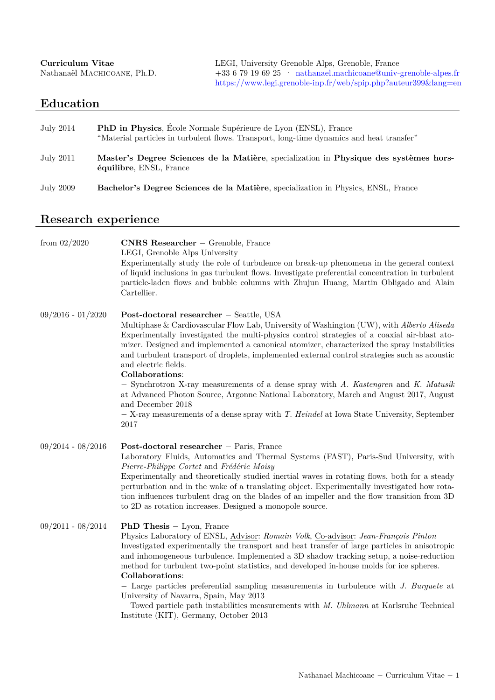<span id="page-0-0"></span>

| Curriculum Vitae            | LEGI, University Grenoble Alps, Grenoble, France            |
|-----------------------------|-------------------------------------------------------------|
| Nathanaël MACHICOANE, Ph.D. | $+33679196925$ mathanael.machicoane@univ-grenoble-alpes.fr  |
|                             | https://www.legi.grenoble-inp.fr/web/spip.php?auteur399⟨=en |

## **Education**

| July 2014 | <b>PhD in Physics</b> , École Normale Supérieure de Lyon (ENSL), France<br>"Material particles in turbulent flows. Transport, long-time dynamics and heat transfer" |
|-----------|---------------------------------------------------------------------------------------------------------------------------------------------------------------------|
| July 2011 | Master's Degree Sciences de la Matière, specialization in Physique des systèmes hors-<br>équilibre, ENSL, France                                                    |
| July 2009 | Bachelor's Degree Sciences de la Matière, specialization in Physics, ENSL, France                                                                                   |

# **Research experience**

| from $02/2020$      | <b>CNRS Researcher</b> – Grenoble, France<br>LEGI, Grenoble Alps University<br>Experimentally study the role of turbulence on break-up phenomena in the general context<br>of liquid inclusions in gas turbulent flows. Investigate preferential concentration in turbulent<br>particle-laden flows and bubble columns with Zhujun Huang, Martin Obligado and Alain<br>Cartellier.                                                                                                                                                                                                                                                                                                                                                                                                          |
|---------------------|---------------------------------------------------------------------------------------------------------------------------------------------------------------------------------------------------------------------------------------------------------------------------------------------------------------------------------------------------------------------------------------------------------------------------------------------------------------------------------------------------------------------------------------------------------------------------------------------------------------------------------------------------------------------------------------------------------------------------------------------------------------------------------------------|
| $09/2016 - 01/2020$ | Post-doctoral researcher - Seattle, USA<br>Multiphase & Cardiovascular Flow Lab, University of Washington (UW), with Alberto Aliseda<br>Experimentally investigated the multi-physics control strategies of a coaxial air-blast ato-<br>mizer. Designed and implemented a canonical atomizer, characterized the spray instabilities<br>and turbulent transport of droplets, implemented external control strategies such as acoustic<br>and electric fields.<br>Collaborations:<br>- Synchrotron X-ray measurements of a dense spray with A. Kastengren and K. Matusik<br>at Advanced Photon Source, Argonne National Laboratory, March and August 2017, August<br>and December 2018<br>$-$ X-ray measurements of a dense spray with T. Heindel at Iowa State University, September<br>2017 |
| $09/2014 - 08/2016$ | Post-doctoral researcher - Paris, France<br>Laboratory Fluids, Automatics and Thermal Systems (FAST), Paris-Sud University, with<br>Pierre-Philippe Cortet and Frédéric Moisy<br>Experimentally and theoretically studied inertial waves in rotating flows, both for a steady<br>perturbation and in the wake of a translating object. Experimentally investigated how rota-<br>tion influences turbulent drag on the blades of an impeller and the flow transition from 3D<br>to 2D as rotation increases. Designed a monopole source.                                                                                                                                                                                                                                                     |
| $09/2011 - 08/2014$ | <b>PhD Thesis</b> $-$ Lyon, France<br>Physics Laboratory of ENSL, Advisor: Romain Volk, Co-advisor: Jean-François Pinton<br>Investigated experimentally the transport and heat transfer of large particles in anisotropic<br>and inhomogeneous turbulence. Implemented a 3D shadow tracking setup, a noise-reduction<br>method for turbulent two-point statistics, and developed in-house molds for ice spheres.<br>Collaborations:<br>- Large particles preferential sampling measurements in turbulence with J. Burguete at<br>University of Navarra, Spain, May 2013<br>- Towed particle path instabilities measurements with M. Uhlmann at Karlsruhe Technical<br>Institute (KIT), Germany, October 2013                                                                                |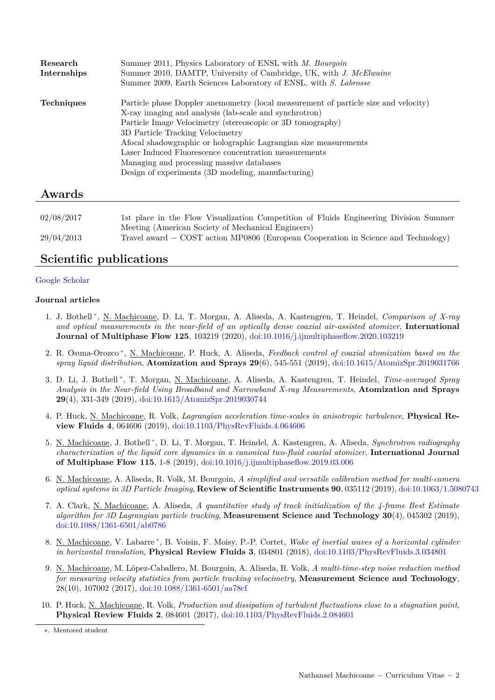| Research          | Summer 2011, Physics Laboratory of ENSL with M. Bourgoin                            |
|-------------------|-------------------------------------------------------------------------------------|
| Internships       | Summer 2010, DAMTP, University of Cambridge, UK, with J. McElwaine                  |
|                   | Summer 2009, Earth Sciences Laboratory of ENSL, with S. Labrosse                    |
| <b>Techniques</b> | Particle phase Doppler anemometry (local measurement of particle size and velocity) |
|                   | X-ray imaging and analysis (lab-scale and synchrotron)                              |
|                   | Particle Image Velocimetry (stereoscopic or 3D tomography)                          |
|                   | 3D Particle Tracking Velocimetry                                                    |
|                   | Afocal shadowgraphic or holographic Lagrangian size measurements                    |
|                   | Laser Induced Fluorescence concentration measurements                               |
|                   | Managing and processing massive databases                                           |
|                   | Design of experiments (3D modeling, manufacturing)                                  |
|                   |                                                                                     |

### **Awards**

| 02/08/2017 | 1st place in the Flow Visualization Competition of Fluids Engineering Division Summer |
|------------|---------------------------------------------------------------------------------------|
|            | Meeting (American Society of Mechanical Engineers)                                    |
| 29/04/2013 | Travel award $-$ COST action MP0806 (European Cooperation in Science and Technology)  |

### **Scientific publications**

### [Google Scholar](https://scholar.google.com/citations?user=DcB022wAAAAJ&hl=en)

### **Journal articles**

- 1. J. Bothell [∗](#page-0-0) , N. Machicoane, D. Li, T. Morgan, A. Aliseda, A. Kastengren, T. Heindel, *Comparison of X-ray and optical measurements in the near-field of an optically dense coaxial air-assisted atomizer*, **International Journal of Multiphase Flow 125**, 103219 (2020), [doi:10.1016/j.ijmultiphaseflow.2020.103219](https://www.sciencedirect.com/science/article/abs/pii/S0301932219303428)
- 2. R. Osuna-Orozco [∗](#page-0-0) , N. Machicoane, P. Huck, A. Aliseda, *Feedback control of coaxial atomization based on the spray liquid distribution*, **Atomization and Sprays 29**(6), 545-551 (2019), [doi:10.1615/AtomizSpr.2019031766](http://dl.begellhouse.com/journals/6a7c7e10642258cc,20df5aae065cfc80,4f7df19753366eb4.html)
- 3. D. Li, J. Bothell [∗](#page-0-0) , T. Morgan, N. Machicoane, A. Aliseda, A. Kastengren, T. Heindel, *Time-averaged Spray Analysis in the Near-field Using Broadband and Narrowband X-ray Measurements*, **Atomization and Sprays 29**(4), 331-349 (2019), [doi:10.1615/AtomizSpr.2019030744](http://www.dl.begellhouse.com/journals/6a7c7e10642258cc,00c8ee9d28f7df4f,2f49d43d32b9e2a1.html)
- 4. P. Huck, N. Machicoane, R. Volk, *Lagrangian acceleration time-scales in anisotropic turbulence*, **Physical Review Fluids 4**, 064606 (2019), [doi:10.1103/PhysRevFluids.4.064606](https://link.aps.org/doi/10.1103/PhysRevFluids.4.064606)
- 5. N. Machicoane, J. Bothell [∗](#page-0-0) , D. Li, T. Morgan, T. Heindel, A. Kastengren, A. Aliseda, *Synchrotron radiography characterization of the liquid core dynamics in a canonical two-fluid coaxial atomizer*, **International Journal of Multiphase Flow 115**, 1-8 (2019), [doi:10.1016/j.ijmultiphaseflow.2019.03.006](https://doi.org/10.1016/j.ijmultiphaseflow.2019.03.006)
- 6. N. Machicoane, A. Aliseda, R. Volk, M. Bourgoin, *A simplified and versatile calibration method for multi-camera optical systems in 3D Particle Imaging*, **Review of Scientific Instruments 90**, 035112 (2019), [doi:10.1063/1.5080743](https://doi.org/10.1063/1.5080743)
- 7. A. Clark, N. Machicoane, A. Aliseda, *A quantitative study of track initialization of the 4-frame Best Estimate algorithm for 3D Lagrangian particle tracking*, **Measurement Science and Technology 30**(4), 045302 (2019), [doi:10.1088/1361-6501/ab0786](https://dx.doi.org/10.1088/1361-6501/ab0786)
- 8. N. Machicoane, V. Labarre<sup>\*</sup>, B. Voisin, F. Moisy, P.-P. Cortet, Wake of inertial waves of a horizontal cylinder *in horizontal translation*, **Physical Review Fluids 3**, 034801 (2018), [doi:10.1103/PhysRevFluids.3.034801](https://journals.aps.org/prfluids/abstract/10.1103/PhysRevFluids.3.034801)
- 9. N. Machicoane, M. López-Caballero, M. Bourgoin, A. Aliseda, R. Volk, *A multi-time-step noise reduction method for measuring velocity statistics from particle tracking velocimetry*, **Measurement Science and Technology**, 28(10), 107002 (2017), [doi:10.1088/1361-6501/aa78cf](https://doi.org/10.1088/1361-6501/aa78cf)
- 10. P. Huck, N. Machicoane, R. Volk, *Production and dissipation of turbulent fluctuations close to a stagnation point*, **Physical Review Fluids 2**, 084601 (2017), [doi:10.1103/PhysRevFluids.2.084601](https://link.aps.org/doi/10.1103/PhysRevFluids.2.084601)

<span id="page-1-0"></span><sup>∗.</sup> Mentored student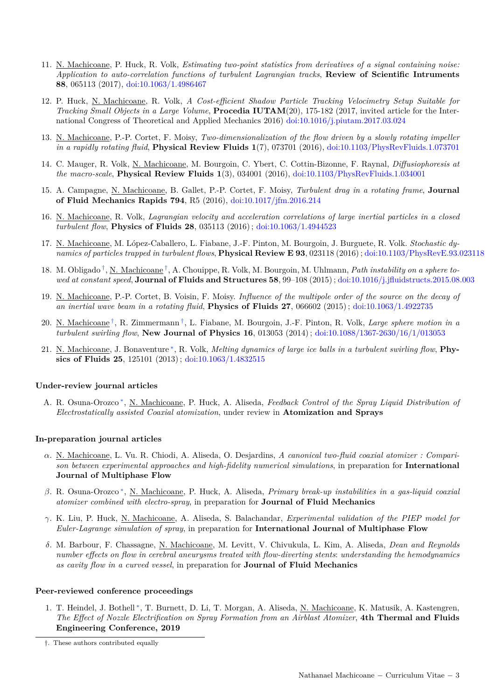- 11. N. Machicoane, P. Huck, R. Volk, *Estimating two-point statistics from derivatives of a signal containing noise: Application to auto-correlation functions of turbulent Lagrangian tracks*, **Review of Scientific Intruments 88**, 065113 (2017), [doi:10.1063/1.4986467](http://dx.doi.org/10.1063/1.4986467)
- 12. P. Huck, N. Machicoane, R. Volk, *A Cost-efficient Shadow Particle Tracking Velocimetry Setup Suitable for Tracking Small Objects in a Large Volume*, **Procedia IUTAM**(20), 175-182 (2017, invited article for the International Congress of Theoretical and Applied Mechanics 2016) [doi:10.1016/j.piutam.2017.03.024](https://doi.org/10.1016/j.piutam.2017.03.024)
- 13. N. Machicoane, P.-P. Cortet, F. Moisy, *Two-dimensionalization of the flow driven by a slowly rotating impeller in a rapidly rotating fluid*, **Physical Review Fluids 1**(7), 073701 (2016), [doi:10.1103/PhysRevFluids.1.073701](http://journals.aps.org/prfluids/abstract/10.1103/PhysRevFluids.1.073701)
- 14. C. Mauger, R. Volk, N. Machicoane, M. Bourgoin, C. Ybert, C. Cottin-Bizonne, F. Raynal, *Diffusiophoresis at the macro-scale*, **Physical Review Fluids 1**(3), 034001 (2016), [doi:10.1103/PhysRevFluids.1.034001](http://link.aps.org/doi/10.1103/PhysRevFluids.1.034001/)
- 15. A. Campagne, N. Machicoane, B. Gallet, P.-P. Cortet, F. Moisy, *Turbulent drag in a rotating frame*, **Journal of Fluid Mechanics Rapids 794**, R5 (2016), [doi:10.1017/jfm.2016.214](http://dx.doi.org/10.1017/jfm.2016.214)
- 16. N. Machicoane, R. Volk, *Lagrangian velocity and acceleration correlations of large inertial particles in a closed turbulent flow*, **Physics of Fluids 28**, 035113 (2016) ; [doi:10.1063/1.4944523](http://dx.doi.org/10.1063/1.4944523)
- 17. N. Machicoane, M. López-Caballero, L. Fiabane, J.-F. Pinton, M. Bourgoin, J. Burguete, R. Volk. *Stochastic dynamics of particles trapped in turbulent flows*, **Physical Review E 93**, 023118 (2016) ; [doi:10.1103/PhysRevE.93.023118](http://link.aps.org/doi/10.1103/PhysRevE.93.023118)
- 18. M. Obligado [†](#page-2-0) , N. Machicoane [†](#page-0-0) , A. Chouippe, R. Volk, M. Bourgoin, M. Uhlmann, *Path instability on a sphere towed at constant speed*, **Journal of Fluids and Structures 58**, 99–108 (2015) ; [doi:10.1016/j.jfluidstructs.2015.08.003](http://dx.doi.org/10.1016/j.jfluidstructs.2015.08.003)
- 19. N. Machicoane, P.-P. Cortet, B. Voisin, F. Moisy. *Influence of the multipole order of the source on the decay of an inertial wave beam in a rotating fluid*, **Physics of Fluids 27**, 066602 (2015) ; [doi:10.1063/1.4922735](http://dx.doi.org/10.1063/1.4922735)
- 20. N. Machicoane [†](#page-0-0) , R. Zimmermann [†](#page-0-0) , L. Fiabane, M. Bourgoin, J.-F. Pinton, R. Volk, *Large sphere motion in a turbulent swirling flow*, **New Journal of Physics 16**, 013053 (2014) ; [doi:10.1088/1367-2630/16/1/013053](http://dx.doi.org/10.1088/1367-2630/16/1/013053)
- 21. N. Machicoane, J. Bonaventure<sup>\*</sup>, R. Volk, *Melting dynamics of large ice balls in a turbulent swirling flow*, **Physics of Fluids 25**, 125101 (2013) ; [doi:10.1063/1.4832515](http://dx.doi.org/10.1063/1.4832515)

#### **Under-review journal articles**

A. R. Osuna-Orozco<sup>\*</sup>, <u>N. Machicoane</u>, P. Huck, A. Aliseda, *Feedback Control of the Spray Liquid Distribution of Electrostatically assisted Coaxial atomization*, under review in **Atomization and Sprays**

#### **In-preparation journal articles**

- *α*. N. Machicoane, L. Vu. R. Chiodi, A. Aliseda, O. Desjardins, *A canonical two-fluid coaxial atomizer : Comparison between experimental approaches and high-fidelity numerical simulations*, in preparation for **International Journal of Multiphase Flow**
- *β*. R. Osuna-Orozco [∗](#page-0-0) , N. Machicoane, P. Huck, A. Aliseda, *Primary break-up instabilities in a gas-liquid coaxial atomizer combined with electro-spray*, in preparation for **Journal of Fluid Mechanics**
- *γ*. K. Liu, P. Huck, N. Machicoane, A. Aliseda, S. Balachandar, *Experimental validation of the PIEP model for Euler-Lagrange simulation of spray*, in preparation for **International Journal of Multiphase Flow**
- *δ*. M. Barbour, F. Chassagne, N. Machicoane, M. Levitt, V. Chivukula, L. Kim, A. Aliseda, *Dean and Reynolds number effects on flow in cerebral aneurysms treated with flow-diverting stents*: *understanding the hemodynamics as cavity flow in a curved vessel*, in preparation for **Journal of Fluid Mechanics**

#### **Peer-reviewed conference proceedings**

1. T. Heindel, J. Bothell<sup>\*</sup>, T. Burnett, D. Li, T. Morgan, A. Aliseda, <u>N. Machicoane</u>, K. Matusik, A. Kastengren, *The Effect of Nozzle Electrification on Spray Formation from an Airblast Atomizer*, **4th Thermal and Fluids Engineering Conference, 2019**

<span id="page-2-0"></span><sup>†.</sup> These authors contributed equally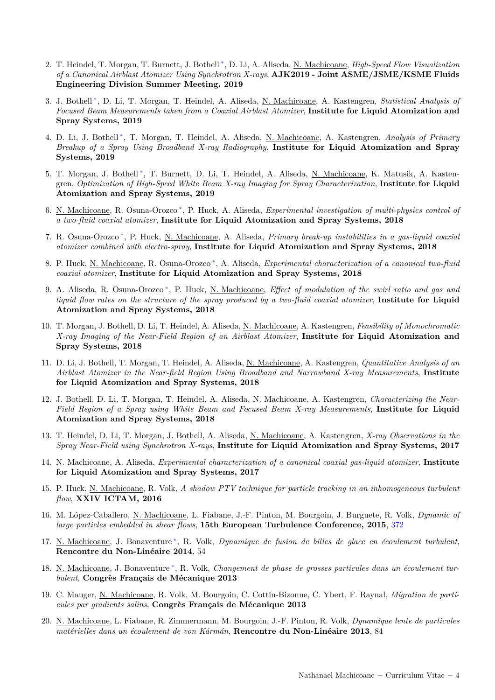- 2. T. Heindel, T. Morgan, T. Burnett, J. Bothell [∗](#page-0-0) , D. Li, A. Aliseda, N. Machicoane, *High-Speed Flow Visualization of a Canonical Airblast Atomizer Using Synchrotron X-rays*, **AJK2019 - Joint ASME/JSME/KSME Fluids Engineering Division Summer Meeting, 2019**
- 3. J. Bothell [∗](#page-0-0) , D. Li, T. Morgan, T. Heindel, A. Aliseda, N. Machicoane, A. Kastengren, *Statistical Analysis of Focused Beam Measurements taken from a Coaxial Airblast Atomizer*, **Institute for Liquid Atomization and Spray Systems, 2019**
- 4. D. Li, J. Bothell [∗](#page-0-0) , T. Morgan, T. Heindel, A. Aliseda, N. Machicoane, A. Kastengren, *Analysis of Primary Breakup of a Spray Using Broadband X-ray Radiography*, **Institute for Liquid Atomization and Spray Systems, 2019**
- 5. T. Morgan, J. Bothell<sup>\*</sup>, T. Burnett, D. Li, T. Heindel, A. Aliseda, <u>N. Machicoane</u>, K. Matusik, A. Kastengren, *Optimization of High-Speed White Beam X-ray Imaging for Spray Characterization*, **Institute for Liquid Atomization and Spray Systems, 2019**
- 6. N. Machicoane, R. Osuna-Orozco [∗](#page-0-0) , P. Huck, A. Aliseda, *Experimental investigation of multi-physics control of a two-fluid coaxial atomizer*, **Institute for Liquid Atomization and Spray Systems, 2018**
- 7. R. Osuna-Orozco [∗](#page-0-0) , P. Huck, N. Machicoane, A. Aliseda, *Primary break-up instabilities in a gas-liquid coaxial atomizer combined with electro-spray*, **Institute for Liquid Atomization and Spray Systems, 2018**
- 8. P. Huck, <u>N. Machicoane</u>, R. Osuna-Orozco<sup>\*</sup>, A. Aliseda, *Experimental characterization of a canonical two-fluid coaxial atomizer*, **Institute for Liquid Atomization and Spray Systems, 2018**
- 9. A. Aliseda, R. Osuna-Orozco<sup>\*</sup>, P. Huck, <u>N. Machicoane</u>, *Effect of modulation of the swirl ratio and gas and liquid flow rates on the structure of the spray produced by a two-fluid coaxial atomizer*, **Institute for Liquid Atomization and Spray Systems, 2018**
- 10. T. Morgan, J. Bothell, D. Li, T. Heindel, A. Aliseda, N. Machicoane, A. Kastengren, *Feasibility of Monochromatic X-ray Imaging of the Near-Field Region of an Airblast Atomizer*, **Institute for Liquid Atomization and Spray Systems, 2018**
- 11. D. Li, J. Bothell, T. Morgan, T. Heindel, A. Aliseda, N. Machicoane, A. Kastengren, *Quantitative Analysis of an Airblast Atomizer in the Near-field Region Using Broadband and Narrowband X-ray Measurements*, **Institute for Liquid Atomization and Spray Systems, 2018**
- 12. J. Bothell, D. Li, T. Morgan, T. Heindel, A. Aliseda, N. Machicoane, A. Kastengren, *Characterizing the Near-Field Region of a Spray using White Beam and Focused Beam X-ray Measurements*, **Institute for Liquid Atomization and Spray Systems, 2018**
- 13. T. Heindel, D. Li, T. Morgan, J. Bothell, A. Aliseda, N. Machicoane, A. Kastengren, *X-ray Observations in the Spray Near-Field using Synchrotron X-rays*, **Institute for Liquid Atomization and Spray Systems, 2017**
- 14. N. Machicoane, A. Aliseda, *Experimental characterization of a canonical coaxial gas-liquid atomizer*, **Institute for Liquid Atomization and Spray Systems, 2017**
- 15. P. Huck, N. Machicoane, R. Volk, *A shadow PTV technique for particle tracking in an inhomogeneous turbulent flow*, **XXIV ICTAM, 2016**
- 16. M. López-Caballero, N. Machicoane, L. Fiabane, J.-F. Pinton, M. Bourgoin, J. Burguete, R. Volk, *Dynamic of large particles embedded in shear flows*, **15th European Turbulence Conference, 2015**, [372](http://www.etc15.nl/proceedings/proceedings/documents/372.pdf)
- 17. N. Machicoane, J. Bonaventure [∗](#page-0-0) , R. Volk, *Dynamique de fusion de billes de glace en écoulement turbulent*, **Rencontre du Non-Linéaire 2014**, 54
- 18. N. Machicoane, J. Bonaventure [∗](#page-0-0) , R. Volk, *Changement de phase de grosses particules dans un écoulement turbulent*, **Congrès Français de Mécanique 2013**
- 19. C. Mauger, N. Machicoane, R. Volk, M. Bourgoin, C. Cottin-Bizonne, C. Ybert, F. Raynal, *Migration de particules par gradients salins*, **Congrès Français de Mécanique 2013**
- 20. N. Machicoane, L. Fiabane, R. Zimmermann, M. Bourgoin, J.-F. Pinton, R. Volk, *Dynamique lente de particules matérielles dans un écoulement de von Kármán*, **Rencontre du Non-Linéaire 2013**, 84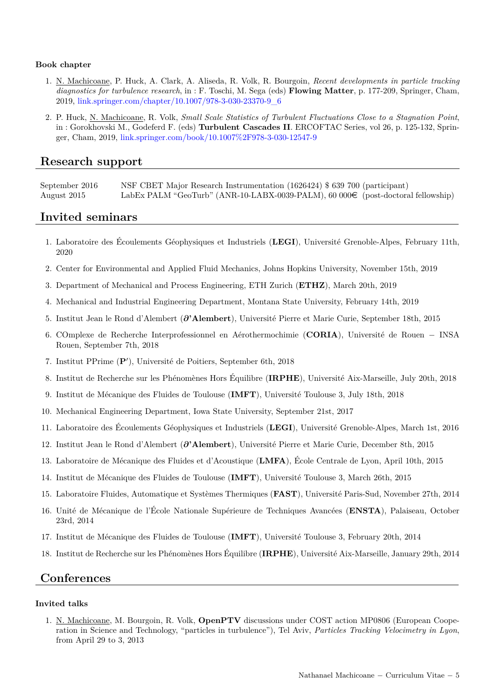#### **Book chapter**

- 1. N. Machicoane, P. Huck, A. Clark, A. Aliseda, R. Volk, R. Bourgoin, *Recent developments in particle tracking diagnostics for turbulence research*, in : F. Toschi, M. Sega (eds) **Flowing Matter**, p. 177-209, Springer, Cham, 2019, [link.springer.com/chapter/10.1007/978-3-030-23370-9\\_6](https://link.springer.com/chapter/10.1007/978-3-030-23370-9_6)
- 2. P. Huck, N. Machicoane, R. Volk, *Small Scale Statistics of Turbulent Fluctuations Close to a Stagnation Point*, in : Gorokhovski M., Godeferd F. (eds) **Turbulent Cascades II**. ERCOFTAC Series, vol 26, p. 125-132, Springer, Cham, 2019, [link.springer.com/book/10.1007%2F978-3-030-12547-9](https://link.springer.com/book/10.1007%2F978-3-030-12547-9)

### **Research support**

September 2016 NSF CBET Major Research Instrumentation (1626424) \$ 639 700 (participant) August 2015 LabEx PALM "GeoTurb" (ANR-10-LABX-0039-PALM), 60 000€ (post-doctoral fellowship)

### **Invited seminars**

- 1. Laboratoire des Écoulements Géophysiques et Industriels (**LEGI**), Université Grenoble-Alpes, February 11th, 2020
- 2. Center for Environmental and Applied Fluid Mechanics, Johns Hopkins University, November 15th, 2019
- 3. Department of Mechanical and Process Engineering, ETH Zurich (**ETHZ**), March 20th, 2019
- 4. Mechanical and Industrial Engineering Department, Montana State University, February 14th, 2019
- 5. Institut Jean le Rond d'Alembert (*∂***'Alembert**), Université Pierre et Marie Curie, September 18th, 2015
- 6. COmplexe de Recherche Interprofessionnel en Aérothermochimie (**CORIA**), Université de Rouen − INSA Rouen, September 7th, 2018
- 7. Institut PPrime (P'), Université de Poitiers, September 6th, 2018
- 8. Institut de Recherche sur les Phénomènes Hors Équilibre (**IRPHE**), Université Aix-Marseille, July 20th, 2018
- 9. Institut de Mécanique des Fluides de Toulouse (**IMFT**), Université Toulouse 3, July 18th, 2018
- 10. Mechanical Engineering Department, Iowa State University, September 21st, 2017
- 11. Laboratoire des Écoulements Géophysiques et Industriels (**LEGI**), Université Grenoble-Alpes, March 1st, 2016
- 12. Institut Jean le Rond d'Alembert (*∂***'Alembert**), Université Pierre et Marie Curie, December 8th, 2015
- 13. Laboratoire de Mécanique des Fluides et d'Acoustique (**LMFA**), École Centrale de Lyon, April 10th, 2015
- 14. Institut de Mécanique des Fluides de Toulouse (**IMFT**), Université Toulouse 3, March 26th, 2015
- 15. Laboratoire Fluides, Automatique et Systèmes Thermiques (**FAST**), Université Paris-Sud, November 27th, 2014
- 16. Unité de Mécanique de l'École Nationale Supérieure de Techniques Avancées (**ENSTA**), Palaiseau, October 23rd, 2014
- 17. Institut de Mécanique des Fluides de Toulouse (**IMFT**), Université Toulouse 3, February 20th, 2014
- 18. Institut de Recherche sur les Phénomènes Hors Équilibre (**IRPHE**), Université Aix-Marseille, January 29th, 2014

### **Conferences**

#### **Invited talks**

1. N. Machicoane, M. Bourgoin, R. Volk, **OpenPTV** discussions under COST action MP0806 (European Cooperation in Science and Technology, "particles in turbulence"), Tel Aviv, *Particles Tracking Velocimetry in Lyon*, from April 29 to 3, 2013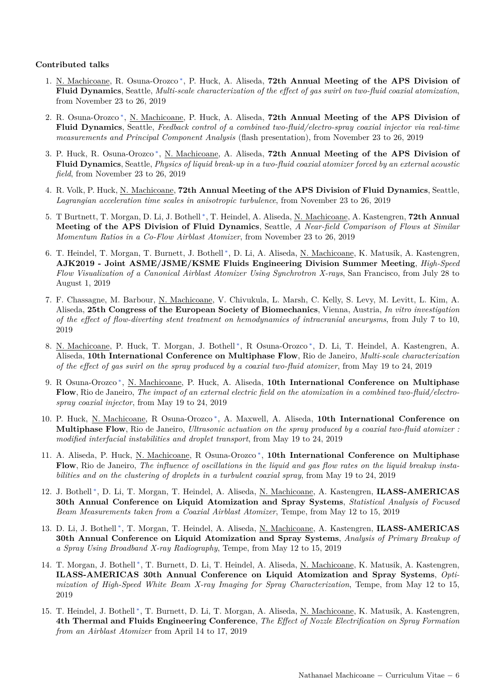#### **Contributed talks**

- 1. N. Machicoane, R. Osuna-Orozco<sup>\*</sup>, P. Huck, A. Aliseda, 72th Annual Meeting of the APS Division of **Fluid Dynamics**, Seattle, *Multi-scale characterization of the effect of gas swirl on two-fluid coaxial atomization*, from November 23 to 26, 2019
- 2. R. Osuna-Orozco [∗](#page-0-0) , N. Machicoane, P. Huck, A. Aliseda, **72th Annual Meeting of the APS Division of Fluid Dynamics**, Seattle, *Feedback control of a combined two-fluid/electro-spray coaxial injector via real-time measurements and Principal Component Analysis* (flash presentation), from November 23 to 26, 2019
- 3. P. Huck, R. Osuna-Orozco<sup>\*</sup>, N. Machicoane, A. Aliseda, 72th Annual Meeting of the APS Division of **Fluid Dynamics**, Seattle, *Physics of liquid break-up in a two-fluid coaxial atomizer forced by an external acoustic field*, from November 23 to 26, 2019
- 4. R. Volk, P. Huck, N. Machicoane, **72th Annual Meeting of the APS Division of Fluid Dynamics**, Seattle, *Lagrangian acceleration time scales in anisotropic turbulence*, from November 23 to 26, 2019
- 5. T Burtnett, T. Morgan, D. Li, J. Bothell<sup>\*</sup>, T. Heindel, A. Aliseda, <u>N. Machicoane</u>, A. Kastengren, **72th Annual Meeting of the APS Division of Fluid Dynamics**, Seattle, *A Near-field Comparison of Flows at Similar Momentum Ratios in a Co-Flow Airblast Atomizer*, from November 23 to 26, 2019
- 6. T. Heindel, T. Morgan, T. Burnett, J. Bothell<sup>\*</sup>, D. Li, A. Aliseda, <u>N. Machicoane</u>, K. Matusik, A. Kastengren, **AJK2019 - Joint ASME/JSME/KSME Fluids Engineering Division Summer Meeting**, *High-Speed Flow Visualization of a Canonical Airblast Atomizer Using Synchrotron X-rays*, San Francisco, from July 28 to August 1, 2019
- 7. F. Chassagne, M. Barbour, N. Machicoane, V. Chivukula, L. Marsh, C. Kelly, S. Levy, M. Levitt, L. Kim, A. Aliseda, **25th Congress of the European Society of Biomechanics**, Vienna, Austria, *In vitro investigation of the effect of flow-diverting stent treatment on hemodynamics of intracranial aneurysms*, from July 7 to 10, 2019
- 8. N. Machicoane, P. Huck, T. Morgan, J. Bothell<sup>\*</sup>, R. Osuna-Orozco<sup>\*</sup>, D. Li, T. Heindel, A. Kastengren, A. Aliseda, **10th International Conference on Multiphase Flow**, Rio de Janeiro, *Multi-scale characterization of the effect of gas swirl on the spray produced by a coaxial two-fluid atomizer*, from May 19 to 24, 2019
- 9. R Osuna-Orozco<sup>\*</sup>, N. Machicoane, P. Huck, A. Aliseda, 10th International Conference on Multiphase **Flow**, Rio de Janeiro, *The impact of an external electric field on the atomization in a combined two-fluid/electrospray coaxial injector*, from May 19 to 24, 2019
- 10. P. Huck, N. Machicoane, R Osuna-Orozco [∗](#page-0-0) , A. Maxwell, A. Aliseda, **10th International Conference on Multiphase Flow**, Rio de Janeiro, *Ultrasonic actuation on the spray produced by a coaxial two-fluid atomizer : modified interfacial instabilities and droplet transport*, from May 19 to 24, 2019
- 11. A. Aliseda, P. Huck, <u>N. Machicoane</u>, R Osuna-Orozco<sup>\*</sup>, 10th International Conference on Multiphase **Flow**, Rio de Janeiro, *The influence of oscillations in the liquid and gas flow rates on the liquid breakup instabilities and on the clustering of droplets in a turbulent coaxial spray*, from May 19 to 24, 2019
- 12. J. Bothell [∗](#page-0-0) , D. Li, T. Morgan, T. Heindel, A. Aliseda, N. Machicoane, A. Kastengren, **ILASS-AMERICAS 30th Annual Conference on Liquid Atomization and Spray Systems**, *Statistical Analysis of Focused Beam Measurements taken from a Coaxial Airblast Atomizer*, Tempe, from May 12 to 15, 2019
- 13. D. Li, J. Bothell [∗](#page-0-0) , T. Morgan, T. Heindel, A. Aliseda, N. Machicoane, A. Kastengren, **ILASS-AMERICAS 30th Annual Conference on Liquid Atomization and Spray Systems**, *Analysis of Primary Breakup of a Spray Using Broadband X-ray Radiography*, Tempe, from May 12 to 15, 2019
- 14. T. Morgan, J. Bothell<sup>\*</sup>, T. Burnett, D. Li, T. Heindel, A. Aliseda, <u>N. Machicoane</u>, K. Matusik, A. Kastengren, **ILASS-AMERICAS 30th Annual Conference on Liquid Atomization and Spray Systems**, *Optimization of High-Speed White Beam X-ray Imaging for Spray Characterization*, Tempe, from May 12 to 15, 2019
- 15. T. Heindel, J. Bothell<sup>\*</sup>, T. Burnett, D. Li, T. Morgan, A. Aliseda, <u>N. Machicoane</u>, K. Matusik, A. Kastengren, **4th Thermal and Fluids Engineering Conference**, *The Effect of Nozzle Electrification on Spray Formation from an Airblast Atomizer* from April 14 to 17, 2019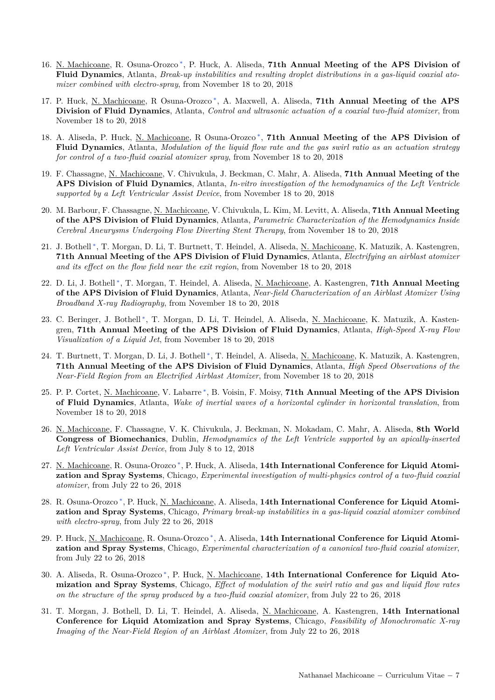- 16. N. Machicoane, R. Osuna-Orozco<sup>\*</sup>, P. Huck, A. Aliseda, 71th Annual Meeting of the APS Division of **Fluid Dynamics**, Atlanta, *Break-up instabilities and resulting droplet distributions in a gas-liquid coaxial atomizer combined with electro-spray*, from November 18 to 20, 2018
- 17. P. Huck, N. Machicoane, R Osuna-Orozco<sup>\*</sup>, A. Maxwell, A. Aliseda, 71th Annual Meeting of the APS **Division of Fluid Dynamics**, Atlanta, *Control and ultrasonic actuation of a coaxial two-fluid atomizer*, from November 18 to 20, 2018
- 18. A. Aliseda, P. Huck, N. Machicoane, R Osuna-Orozco<sup>\*</sup>, 71th Annual Meeting of the APS Division of **Fluid Dynamics**, Atlanta, *Modulation of the liquid flow rate and the gas swirl ratio as an actuation strategy for control of a two-fluid coaxial atomizer spray*, from November 18 to 20, 2018
- 19. F. Chassagne, N. Machicoane, V. Chivukula, J. Beckman, C. Mahr, A. Aliseda, **71th Annual Meeting of the APS Division of Fluid Dynamics**, Atlanta, *In-vitro investigation of the hemodynamics of the Left Ventricle supported by a Left Ventricular Assist Device*, from November 18 to 20, 2018
- 20. M. Barbour, F. Chassagne, N. Machicoane, V. Chivukula, L. Kim, M. Levitt, A. Aliseda, **71th Annual Meeting of the APS Division of Fluid Dynamics**, Atlanta, *Parametric Characterization of the Hemodynamics Inside Cerebral Aneurysms Undergoing Flow Diverting Stent Therapy*, from November 18 to 20, 2018
- 21. J. Bothell<sup>[∗](#page-0-0)</sup>, T. Morgan, D. Li, T. Burtnett, T. Heindel, A. Aliseda, <u>N. Machicoane</u>, K. Matuzik, A. Kastengren, **71th Annual Meeting of the APS Division of Fluid Dynamics**, Atlanta, *Electrifying an airblast atomizer and its effect on the flow field near the exit region*, from November 18 to 20, 2018
- 22. D. Li, J. Bothell [∗](#page-0-0) , T. Morgan, T. Heindel, A. Aliseda, N. Machicoane, A. Kastengren, **71th Annual Meeting of the APS Division of Fluid Dynamics**, Atlanta, *Near-field Characterization of an Airblast Atomizer Using Broadband X-ray Radiography*, from November 18 to 20, 2018
- 23. C. Beringer, J. Bothell<sup>\*</sup>, T. Morgan, D. Li, T. Heindel, A. Aliseda, <u>N. Machicoane</u>, K. Matuzik, A. Kastengren, **71th Annual Meeting of the APS Division of Fluid Dynamics**, Atlanta, *High-Speed X-ray Flow Visualization of a Liquid Jet*, from November 18 to 20, 2018
- 24. T. Burtnett, T. Morgan, D. Li, J. Bothell<sup>\*</sup>, T. Heindel, A. Aliseda, <u>N. Machicoane</u>, K. Matuzik, A. Kastengren, **71th Annual Meeting of the APS Division of Fluid Dynamics**, Atlanta, *High Speed Observations of the Near-Field Region from an Electrified Airblast Atomizer*, from November 18 to 20, 2018
- 25. P. P. Cortet, N. Machicoane, V. Labarre [∗](#page-0-0) , B. Voisin, F. Moisy, **71th Annual Meeting of the APS Division of Fluid Dynamics**, Atlanta, *Wake of inertial waves of a horizontal cylinder in horizontal translation*, from November 18 to 20, 2018
- 26. N. Machicoane, F. Chassagne, V. K. Chivukula, J. Beckman, N. Mokadam, C. Mahr, A. Aliseda, **8th World Congress of Biomechanics**, Dublin, *Hemodynamics of the Left Ventricle supported by an apically-inserted Left Ventricular Assist Device*, from July 8 to 12, 2018
- 27. N. Machicoane, R. Osuna-Orozco [∗](#page-0-0) , P. Huck, A. Aliseda, **14th International Conference for Liquid Atomization and Spray Systems**, Chicago, *Experimental investigation of multi-physics control of a two-fluid coaxial atomizer*, from July 22 to 26, 2018
- 28. R. Osuna-Orozco [∗](#page-0-0) , P. Huck, N. Machicoane, A. Aliseda, **14th International Conference for Liquid Atomization and Spray Systems**, Chicago, *Primary break-up instabilities in a gas-liquid coaxial atomizer combined with electro-spray*, from July 22 to 26, 2018
- 29. P. Huck, N. Machicoane, R. Osuna-Orozco [∗](#page-0-0) , A. Aliseda, **14th International Conference for Liquid Atomization and Spray Systems**, Chicago, *Experimental characterization of a canonical two-fluid coaxial atomizer*, from July 22 to 26, 2018
- 30. A. Aliseda, R. Osuna-Orozco<sup>\*</sup>, P. Huck, <u>N. Machicoane</u>, 14th International Conference for Liquid Ato**mization and Spray Systems**, Chicago, *Effect of modulation of the swirl ratio and gas and liquid flow rates on the structure of the spray produced by a two-fluid coaxial atomizer*, from July 22 to 26, 2018
- 31. T. Morgan, J. Bothell, D. Li, T. Heindel, A. Aliseda, N. Machicoane, A. Kastengren, **14th International Conference for Liquid Atomization and Spray Systems**, Chicago, *Feasibility of Monochromatic X-ray Imaging of the Near-Field Region of an Airblast Atomizer*, from July 22 to 26, 2018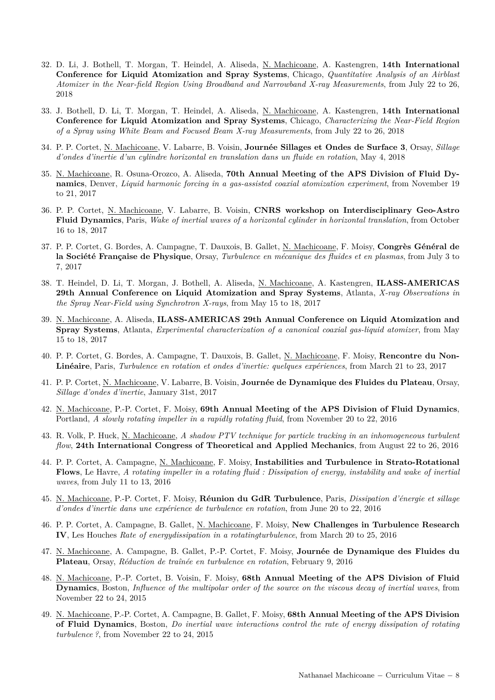- 32. D. Li, J. Bothell, T. Morgan, T. Heindel, A. Aliseda, N. Machicoane, A. Kastengren, **14th International Conference for Liquid Atomization and Spray Systems**, Chicago, *Quantitative Analysis of an Airblast Atomizer in the Near-field Region Using Broadband and Narrowband X-ray Measurements*, from July 22 to 26, 2018
- 33. J. Bothell, D. Li, T. Morgan, T. Heindel, A. Aliseda, N. Machicoane, A. Kastengren, **14th International Conference for Liquid Atomization and Spray Systems**, Chicago, *Characterizing the Near-Field Region of a Spray using White Beam and Focused Beam X-ray Measurements*, from July 22 to 26, 2018
- 34. P. P. Cortet, N. Machicoane, V. Labarre, B. Voisin, **Journée Sillages et Ondes de Surface 3**, Orsay, *Sillage d'ondes d'inertie d'un cylindre horizontal en translation dans un fluide en rotation*, May 4, 2018
- 35. N. Machicoane, R. Osuna-Orozco, A. Aliseda, **70th Annual Meeting of the APS Division of Fluid Dynamics**, Denver, *Liquid harmonic forcing in a gas-assisted coaxial atomization experiment*, from November 19 to 21, 2017
- 36. P. P. Cortet, N. Machicoane, V. Labarre, B. Voisin, **CNRS workshop on Interdisciplinary Geo-Astro Fluid Dynamics**, Paris, *Wake of inertial waves of a horizontal cylinder in horizontal translation*, from October 16 to 18, 2017
- 37. P. P. Cortet, G. Bordes, A. Campagne, T. Dauxois, B. Gallet, N. Machicoane, F. Moisy, **Congrès Général de la Société Française de Physique**, Orsay, *Turbulence en mécanique des fluides et en plasmas*, from July 3 to 7, 2017
- 38. T. Heindel, D. Li, T. Morgan, J. Bothell, A. Aliseda, N. Machicoane, A. Kastengren, **ILASS-AMERICAS 29th Annual Conference on Liquid Atomization and Spray Systems**, Atlanta, *X-ray Observations in the Spray Near-Field using Synchrotron X-rays*, from May 15 to 18, 2017
- 39. N. Machicoane, A. Aliseda, **ILASS-AMERICAS 29th Annual Conference on Liquid Atomization and Spray Systems**, Atlanta, *Experimental characterization of a canonical coaxial gas-liquid atomizer*, from May 15 to 18, 2017
- 40. P. P. Cortet, G. Bordes, A. Campagne, T. Dauxois, B. Gallet, N. Machicoane, F. Moisy, **Rencontre du Non-Linéaire**, Paris, *Turbulence en rotation et ondes d'inertie: quelques expériences*, from March 21 to 23, 2017
- 41. P. P. Cortet, N. Machicoane, V. Labarre, B. Voisin, **Journée de Dynamique des Fluides du Plateau**, Orsay, *Sillage d'ondes d'inertie*, January 31st, 2017
- 42. N. Machicoane, P.-P. Cortet, F. Moisy, **69th Annual Meeting of the APS Division of Fluid Dynamics**, Portland, *A slowly rotating impeller in a rapidly rotating fluid*, from November 20 to 22, 2016
- 43. R. Volk, P. Huck, N. Machicoane, *A shadow PTV technique for particle tracking in an inhomogeneous turbulent flow*, **24th International Congress of Theoretical and Applied Mechanics**, from August 22 to 26, 2016
- 44. P. P. Cortet, A. Campagne, N. Machicoane, F. Moisy, **Instabilities and Turbulence in Strato-Rotational Flows**, Le Havre, *A rotating impeller in a rotating fluid : Dissipation of energy, instability and wake of inertial waves*, from July 11 to 13, 2016
- 45. N. Machicoane, P.-P. Cortet, F. Moisy, **Réunion du GdR Turbulence**, Paris, *Dissipation d'énergie et sillage d'ondes d'inertie dans une expérience de turbulence en rotation*, from June 20 to 22, 2016
- 46. P. P. Cortet, A. Campagne, B. Gallet, N. Machicoane, F. Moisy, **New Challenges in Turbulence Research IV**, Les Houches *Rate of energydissipation in a rotatingturbulence*, from March 20 to 25, 2016
- 47. N. Machicoane, A. Campagne, B. Gallet, P.-P. Cortet, F. Moisy, **Journée de Dynamique des Fluides du Plateau**, Orsay, *Réduction de traînée en turbulence en rotation*, February 9, 2016
- 48. N. Machicoane, P.-P. Cortet, B. Voisin, F. Moisy, **68th Annual Meeting of the APS Division of Fluid Dynamics**, Boston, *Influence of the multipolar order of the source on the viscous decay of inertial waves*, from November 22 to 24, 2015
- 49. N. Machicoane, P.-P. Cortet, A. Campagne, B. Gallet, F. Moisy, **68th Annual Meeting of the APS Division of Fluid Dynamics**, Boston, *Do inertial wave interactions control the rate of energy dissipation of rotating turbulence ?*, from November 22 to 24, 2015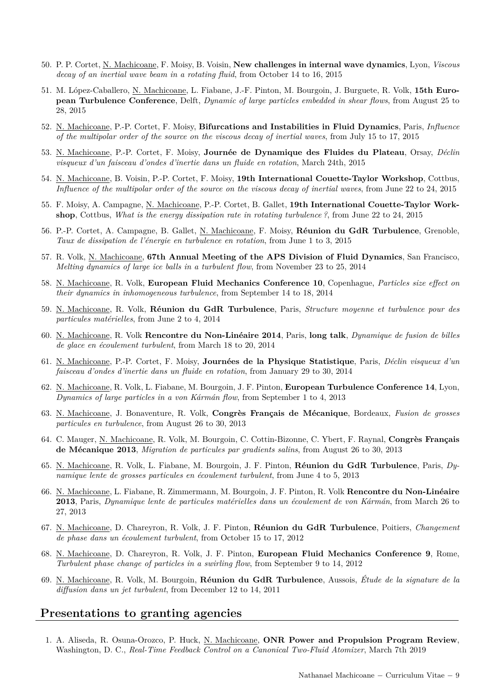- 50. P. P. Cortet, N. Machicoane, F. Moisy, B. Voisin, **New challenges in internal wave dynamics**, Lyon, *Viscous decay of an inertial wave beam in a rotating fluid*, from October 14 to 16, 2015
- 51. M. López-Caballero, N. Machicoane, L. Fiabane, J.-F. Pinton, M. Bourgoin, J. Burguete, R. Volk, **15th European Turbulence Conference**, Delft, *Dynamic of large particles embedded in shear flows*, from August 25 to 28, 2015
- 52. N. Machicoane, P.-P. Cortet, F. Moisy, **Bifurcations and Instabilities in Fluid Dynamics**, Paris, *Influence of the multipolar order of the source on the viscous decay of inertial waves*, from July 15 to 17, 2015
- 53. N. Machicoane, P.-P. Cortet, F. Moisy, **Journée de Dynamique des Fluides du Plateau**, Orsay, *Déclin visqueux d'un faisceau d'ondes d'inertie dans un fluide en rotation*, March 24th, 2015
- 54. N. Machicoane, B. Voisin, P.-P. Cortet, F. Moisy, **19th International Couette-Taylor Workshop**, Cottbus, *Influence of the multipolar order of the source on the viscous decay of inertial waves*, from June 22 to 24, 2015
- 55. F. Moisy, A. Campagne, N. Machicoane, P.-P. Cortet, B. Gallet, **19th International Couette-Taylor Workshop**, Cottbus, *What is the energy dissipation rate in rotating turbulence ?*, from June 22 to 24, 2015
- 56. P.-P. Cortet, A. Campagne, B. Gallet, N. Machicoane, F. Moisy, **Réunion du GdR Turbulence**, Grenoble, *Taux de dissipation de l'énergie en turbulence en rotation*, from June 1 to 3, 2015
- 57. R. Volk, N. Machicoane, **67th Annual Meeting of the APS Division of Fluid Dynamics**, San Francisco, *Melting dynamics of large ice balls in a turbulent flow*, from November 23 to 25, 2014
- 58. N. Machicoane, R. Volk, **European Fluid Mechanics Conference 10**, Copenhague, *Particles size effect on their dynamics in inhomogeneous turbulence*, from September 14 to 18, 2014
- 59. N. Machicoane, R. Volk, **Réunion du GdR Turbulence**, Paris, *Structure moyenne et turbulence pour des particules matérielles*, from June 2 to 4, 2014
- 60. N. Machicoane, R. Volk **Rencontre du Non-Linéaire 2014**, Paris, **long talk**, *Dynamique de fusion de billes de glace en écoulement turbulent*, from March 18 to 20, 2014
- 61. N. Machicoane, P.-P. Cortet, F. Moisy, **Journées de la Physique Statistique**, Paris, *Déclin visqueux d'un faisceau d'ondes d'inertie dans un fluide en rotation*, from January 29 to 30, 2014
- 62. N. Machicoane, R. Volk, L. Fiabane, M. Bourgoin, J. F. Pinton, **European Turbulence Conference 14**, Lyon, *Dynamics of large particles in a von Kármán flow*, from September 1 to 4, 2013
- 63. N. Machicoane, J. Bonaventure, R. Volk, **Congrès Français de Mécanique**, Bordeaux, *Fusion de grosses particules en turbulence*, from August 26 to 30, 2013
- 64. C. Mauger, N. Machicoane, R. Volk, M. Bourgoin, C. Cottin-Bizonne, C. Ybert, F. Raynal, **Congrès Français de Mécanique 2013**, *Migration de particules par gradients salins*, from August 26 to 30, 2013
- 65. N. Machicoane, R. Volk, L. Fiabane, M. Bourgoin, J. F. Pinton, **Réunion du GdR Turbulence**, Paris, *Dynamique lente de grosses particules en écoulement turbulent*, from June 4 to 5, 2013
- 66. N. Machicoane, L. Fiabane, R. Zimmermann, M. Bourgoin, J. F. Pinton, R. Volk **Rencontre du Non-Linéaire 2013**, Paris, *Dynamique lente de particules matérielles dans un écoulement de von Kármán*, from March 26 to 27, 2013
- 67. N. Machicoane, D. Chareyron, R. Volk, J. F. Pinton, **Réunion du GdR Turbulence**, Poitiers, *Changement de phase dans un écoulement turbulent*, from October 15 to 17, 2012
- 68. N. Machicoane, D. Chareyron, R. Volk, J. F. Pinton, **European Fluid Mechanics Conference 9**, Rome, *Turbulent phase change of particles in a swirling flow*, from September 9 to 14, 2012
- 69. N. Machicoane, R. Volk, M. Bourgoin, **Réunion du GdR Turbulence**, Aussois, *Étude de la signature de la diffusion dans un jet turbulent*, from December 12 to 14, 2011

### **Presentations to granting agencies**

1. A. Aliseda, R. Osuna-Orozco, P. Huck, N. Machicoane, **ONR Power and Propulsion Program Review**, Washington, D. C., *Real-Time Feedback Control on a Canonical Two-Fluid Atomizer*, March 7th 2019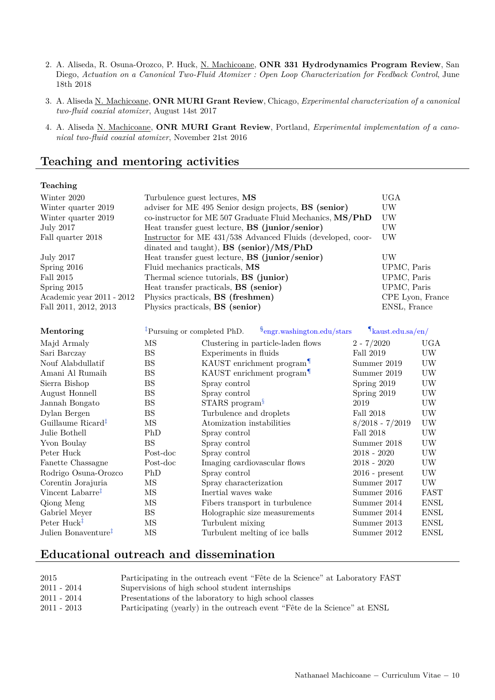- 2. A. Aliseda, R. Osuna-Orozco, P. Huck, N. Machicoane, **ONR 331 Hydrodynamics Program Review**, San Diego, *Actuation on a Canonical Two-Fluid Atomizer : Open Loop Characterization for Feedback Control*, June 18th 2018
- 3. A. Aliseda N. Machicoane, **ONR MURI Grant Review**, Chicago, *Experimental characterization of a canonical two-fluid coaxial atomizer*, August 14st 2017
- 4. A. Aliseda N. Machicoane, **ONR MURI Grant Review**, Portland, *Experimental implementation of a canonical two-fluid coaxial atomizer*, November 21st 2016

### **Teaching and mentoring activities**

#### **Teaching**

| Winter 2020               | Turbulence guest lectures, MS                                 | <b>UGA</b>       |
|---------------------------|---------------------------------------------------------------|------------------|
| Winter quarter 2019       | adviser for ME 495 Senior design projects, <b>BS</b> (senior) | UW               |
| Winter quarter 2019       | co-instructor for ME 507 Graduate Fluid Mechanics, MS/PhD     | UW               |
| July 2017                 | Heat transfer guest lecture, <b>BS</b> (junior/senior)        | UW               |
| Fall quarter 2018         | Instructor for ME 431/538 Advanced Fluids (developed, coor-   | UW               |
|                           | dinated and taught), $\mathbf{BS}$ (senior)/MS/PhD            |                  |
| <b>July 2017</b>          | Heat transfer guest lecture, <b>BS</b> (junior/senior)        | UW               |
| Spring $2016$             | Fluid mechanics practicals, MS                                | UPMC, Paris      |
| Fall 2015                 | Thermal science tutorials, <b>BS</b> (junior)                 | UPMC, Paris      |
| Spring $2015$             | Heat transfer practicals, BS (senior)                         | UPMC, Paris      |
| Academic year 2011 - 2012 | Physics practicals, <b>BS</b> (freshmen)                      | CPE Lyon, France |
| Fall 2011, 2012, 2013     | Physics practicals, <b>BS</b> (senior)                        | ENSL, France     |

| Mentoring                       |          | <sup>‡</sup> Pursuing or completed PhD. $\frac{\$$ engr.washington.edu/stars | $\mathbf{u}$ kaust.edu.sa/en/ |                 |
|---------------------------------|----------|------------------------------------------------------------------------------|-------------------------------|-----------------|
| Majd Armaly                     | ΜS       | Clustering in particle-laden flows                                           | $2 - 7/2020$                  | UGA             |
| Sari Barczay                    | BS       | Experiments in fluids                                                        | Fall 2019                     | UW              |
| Nouf Alabdullatif               | BS       | KAUST enrichment program <sup>1</sup>                                        | Summer 2019                   | UW              |
| Amani Al Rumaih                 | BS       | KAUST enrichment program <sup>1</sup>                                        | Summer 2019                   | <b>UW</b>       |
| Sierra Bishop                   | BS       | Spray control                                                                | Spring 2019                   | UW              |
| August Honnell                  | BS       | Spray control                                                                | Spring 2019                   | UW              |
| Jannah Bongato                  | BS       | $STARS$ program <sup>§</sup>                                                 | 2019                          | $\rm{U} \rm{W}$ |
| Dylan Bergen                    | BS       | Turbulence and droplets                                                      | Fall 2018                     | UW              |
| Guillaume Ricard <sup>‡</sup>   | MS       | Atomization instabilities                                                    | $8/2018 - 7/2019$             | UW              |
| Julie Bothell                   | PhD      | Spray control                                                                | Fall 2018                     | UW              |
| Yvon Boulay                     | BS       | Spray control                                                                | Summer 2018                   | UW              |
| Peter Huck                      | Post-doc | Spray control                                                                | $2018 - 2020$                 | UW              |
| Fanette Chassagne               | Post-doc | Imaging cardiovascular flows                                                 | $2018 - 2020$                 | UW              |
| Rodrigo Osuna-Orozco            | PhD      | Spray control                                                                | $2016$ - present              | UW              |
| Corentin Jorajuria              | ΜS       | Spray characterization                                                       | Summer 2017                   | $\rm{U} \rm{W}$ |
| Vincent Labarre <sup>‡</sup>    | ΜS       | Inertial waves wake                                                          | Summer 2016                   | FAST            |
| Qiong Meng                      | ΜS       | Fibers transport in turbulence                                               | Summer 2014                   | <b>ENSL</b>     |
| Gabriel Meyer                   | BS       | Holographic size measurements                                                | Summer 2014                   | <b>ENSL</b>     |
| Peter $Huck^{\ddagger}$         | ΜS       | Turbulent mixing                                                             | Summer 2013                   | <b>ENSL</b>     |
| Julien Bonaventure <sup>‡</sup> | MS       | Turbulent melting of ice balls                                               | Summer 2012                   | <b>ENSL</b>     |

### **Educational outreach and dissemination**

| 2015        | Participating in the outreach event "Fête de la Science" at Laboratory FAST |
|-------------|-----------------------------------------------------------------------------|
| 2011 - 2014 | Supervisions of high school student internships                             |
| 2011 - 2014 | Presentations of the laboratory to high school classes                      |
| 2011 - 2013 | Participating (yearly) in the outreach event "Fête de la Science" at ENSL   |